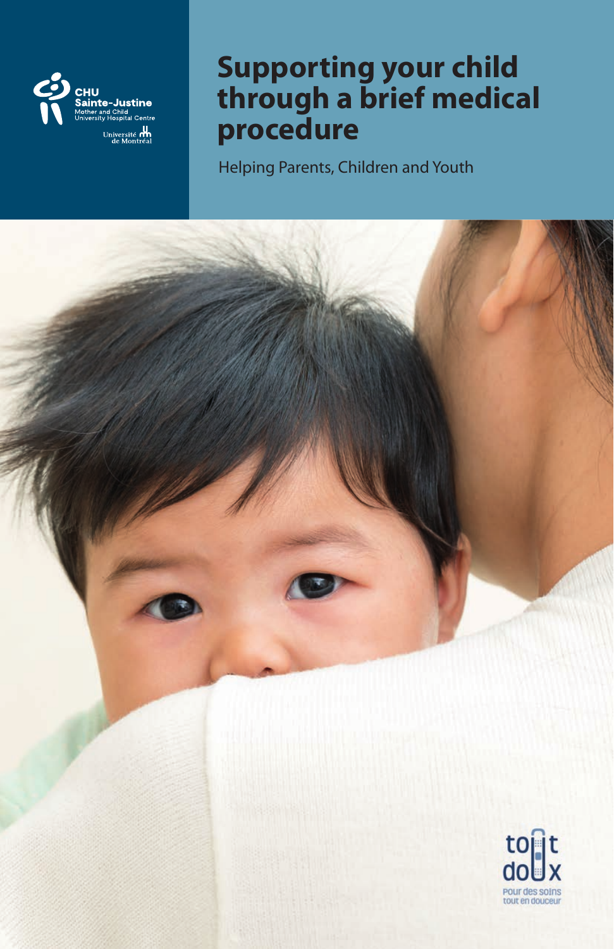

## **Supporting your child through a brief medical procedure**

Helping Parents, Children and Youth

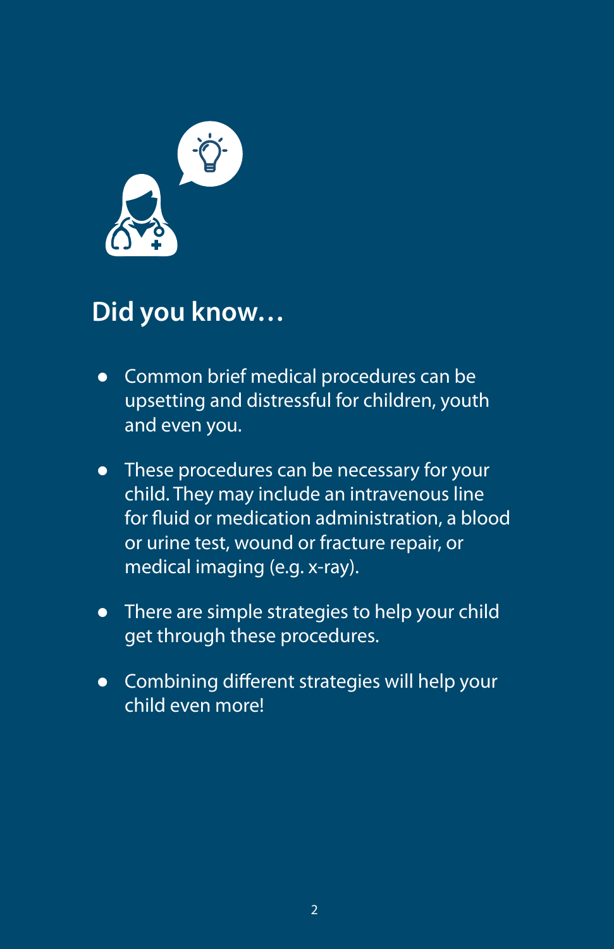

## **Did you know…**

- � Common brief medical procedures can be upsetting and distressful for children, youth and even you.
- These procedures can be necessary for your child. They may include an intravenous line for fluid or medication administration, a blood or urine test, wound or fracture repair, or medical imaging (e.g. x-ray).
- There are simple strategies to help your child get through these procedures.
- � Combining different strategies will help your child even more!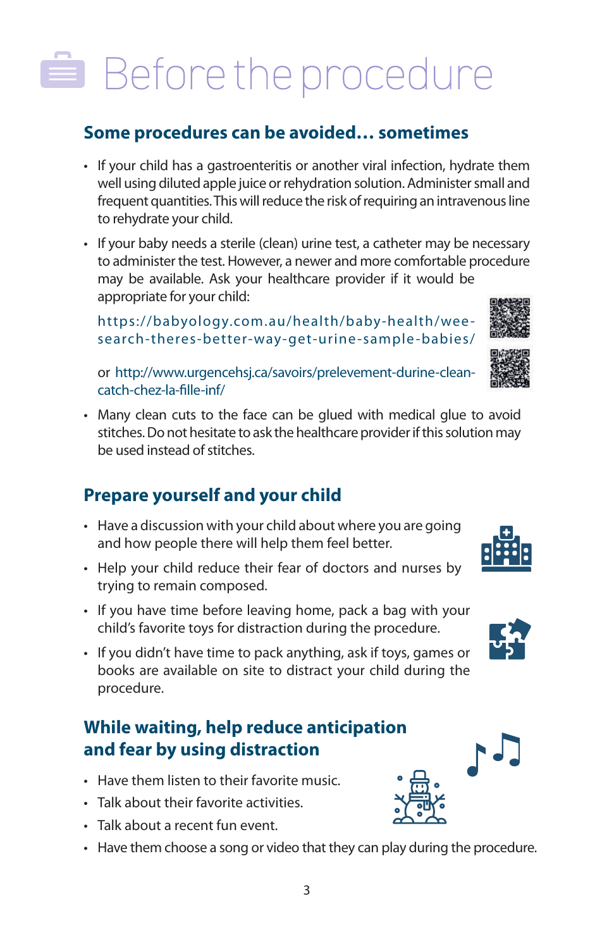# Before the procedure

#### **Some procedures can be avoided… sometimes**

- If your child has a gastroenteritis or another viral infection, hydrate them well using diluted apple juice or rehydration solution. Administer small and frequent quantities. This will reduce the risk of requiring an intravenous line to rehydrate your child.
- If your baby needs a sterile (clean) urine test, a catheter may be necessary to administer the test. However, a newer and more comfortable procedure may be available. Ask your healthcare provider if it would be appropriate for your child:

https://babyology.com.au/health/baby-health/weesearch-theres-better-way-get-urine -sample -babies/

or http://www.urgencehsj.ca/savoirs/prelevement-durine-cleancatch-chez-la-fille-inf/

• Many clean cuts to the face can be glued with medical glue to avoid stitches. Do not hesitate to ask the healthcare provider if this solution may be used instead of stitches.

#### **Prepare yourself and your child**

- Have a discussion with your child about where you are going and how people there will help them feel better.
- Help your child reduce their fear of doctors and nurses by trying to remain composed.
- If you have time before leaving home, pack a bag with your child's favorite toys for distraction during the procedure.
- If you didn't have time to pack anything, ask if toys, games or books are available on site to distract your child during the procedure.

### **While waiting, help reduce anticipation and fear by using distraction**

- Have them listen to their favorite music.
- Talk about their favorite activities.
- Talk about a recent fun event.
- Have them choose a song or video that they can play during the procedure.









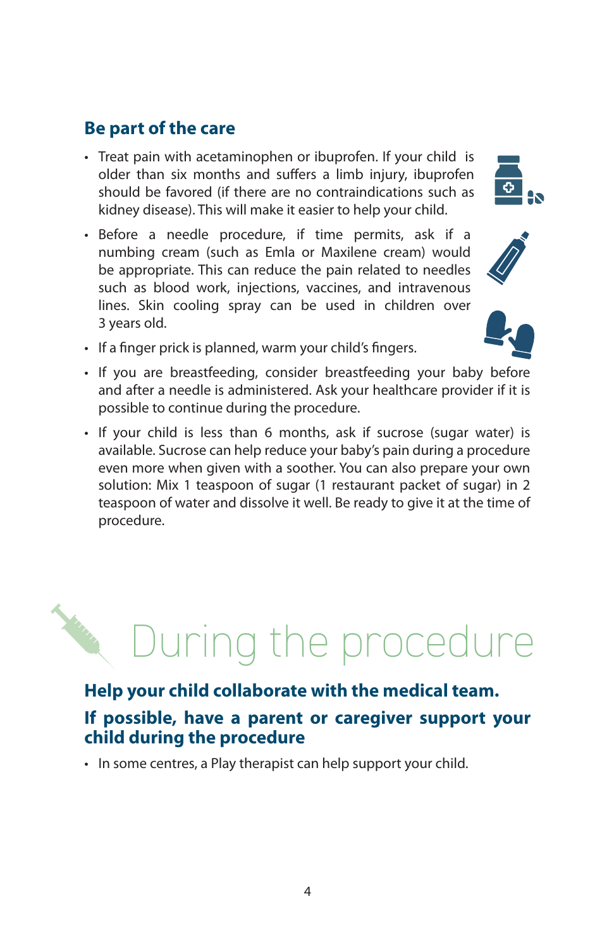#### **Be part of the care**

- Treat pain with acetaminophen or ibuprofen. If your child is older than six months and suffers a limb injury, ibuprofen should be favored (if there are no contraindications such as kidney disease). This will make it easier to help your child.
- Before a needle procedure, if time permits, ask if a numbing cream (such as Emla or Maxilene cream) would be appropriate. This can reduce the pain related to needles such as blood work, injections, vaccines, and intravenous lines. Skin cooling spray can be used in children over 3 years old.
- If a finger prick is planned, warm your child's fingers.
- If you are breastfeeding, consider breastfeeding your baby before and after a needle is administered. Ask your healthcare provider if it is possible to continue during the procedure.
- If your child is less than 6 months, ask if sucrose (sugar water) is available. Sucrose can help reduce your baby's pain during a procedure even more when given with a soother. You can also prepare your own solution: Mix 1 teaspoon of sugar (1 restaurant packet of sugar) in 2 teaspoon of water and dissolve it well. Be ready to give it at the time of procedure.

### **Help your child collaborate with the medical team. If possible, have a parent or caregiver support your child during the procedure**

During the procedure

• In some centres, a Play therapist can help support your child.



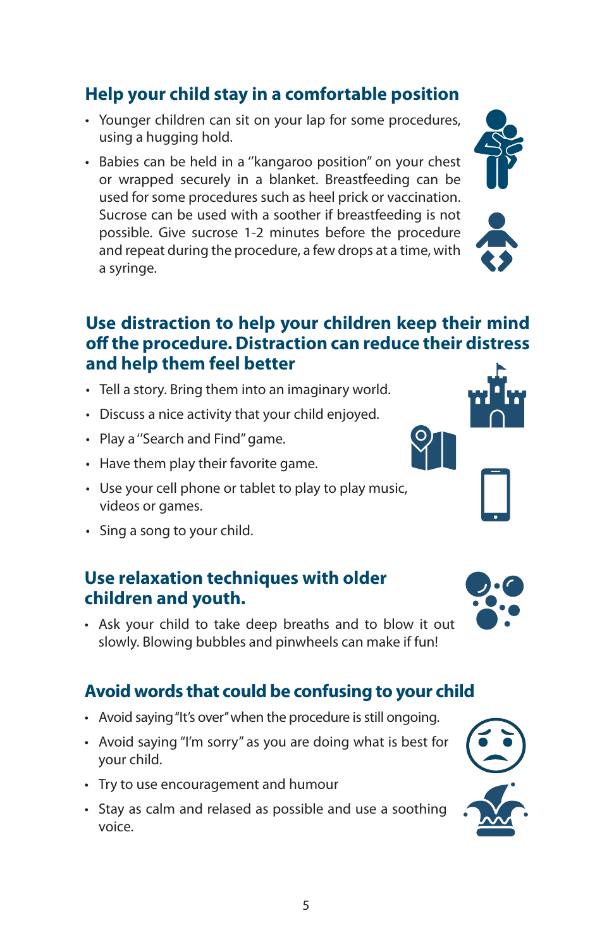#### **Help your child stay in a comfortable position**

- Younger children can sit on your lap for some procedures, using a hugging hold.
- Babies can be held in a ''kangaroo position'' on your chest or wrapped securely in a blanket. Breastfeeding can be used for some procedures such as heel prick or vaccination. Sucrose can be used with a soother if breastfeeding is not possible. Give sucrose 1-2 minutes before the procedure and repeat during the procedure, a few drops at a time, with a syringe.

#### **Use distraction to help your children keep their mind o the procedure. Distraction can reduce their distress and help them feel better**

- Tell a story. Bring them into an imaginary world.
- Discuss a nice activity that your child enjoyed.
- Play a ''Search and Find'' game.
- Have them play their favorite game.
- Use your cell phone or tablet to play to play music, videos or games.
- Sing a song to your child.

#### **Use relaxation techniques with older children and youth.**

• Ask your child to take deep breaths and to blow it out slowly. Blowing bubbles and pinwheels can make if fun!

#### **Avoid words that could be confusing to your child**

- Avoid saying ''It's over'' when the procedure is still ongoing.
- Avoid saying ''I'm sorry'' as you are doing what is best for your child.
- Try to use encouragement and humour
- Stay as calm and relased as possible and use a soothing voice.